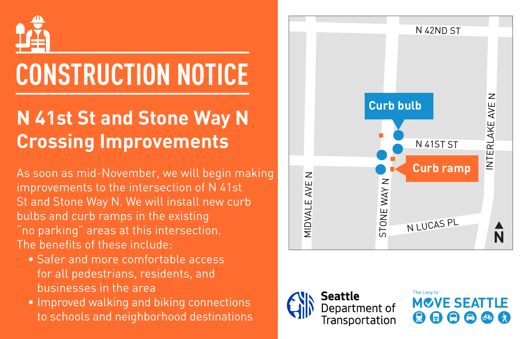

## **CONSTRUCTION NOTICE**

## **N 41st St and Stone Way N Crossing Improvements**

As soon as mid-November, we will begin making improvements to the intersection of N 41st St and Stone Way N. We will install new curb bulbs and curb ramps in the existing "no parking" areas at this intersection. The benefits of these include:

- Safer and more comfortable access for all pedestrians, residents, and businesses in the area
- Improved walking and biking connections to schools and neighborhood destinations





The Levy to **MOVE SEATTLE** 6 A